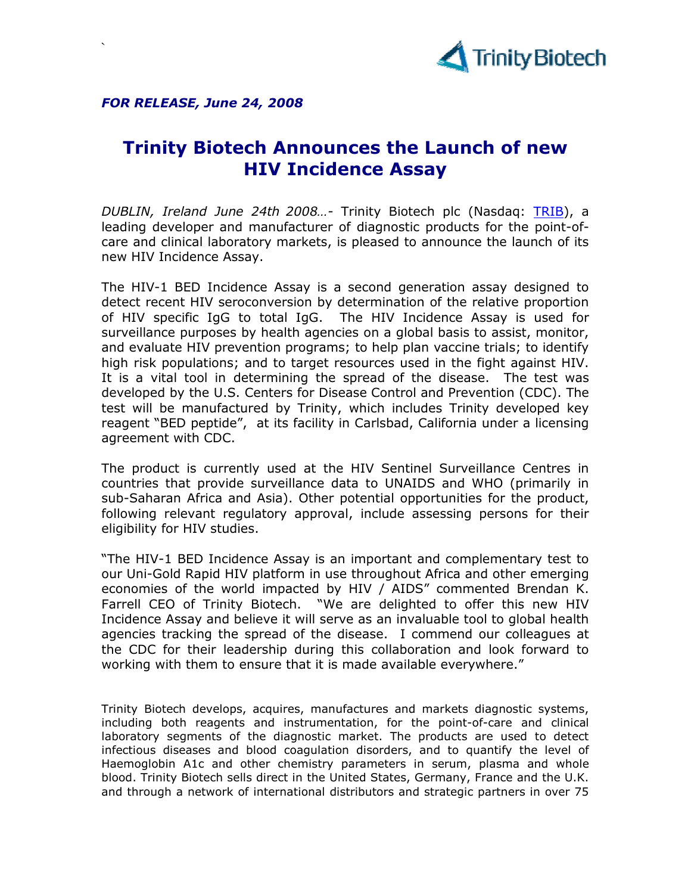

FOR RELEASE, June 24, 2008

`

## Trinity Biotech Announces the Launch of new HIV Incidence Assay

DUBLIN, Ireland June 24th 2008...- Trinity Biotech plc (Nasdaq: TRIB), a leading developer and manufacturer of diagnostic products for the point-ofcare and clinical laboratory markets, is pleased to announce the launch of its new HIV Incidence Assay.

The HIV-1 BED Incidence Assay is a second generation assay designed to detect recent HIV seroconversion by determination of the relative proportion of HIV specific IgG to total IgG. The HIV Incidence Assay is used for surveillance purposes by health agencies on a global basis to assist, monitor, and evaluate HIV prevention programs; to help plan vaccine trials; to identify high risk populations; and to target resources used in the fight against HIV. It is a vital tool in determining the spread of the disease. The test was developed by the U.S. Centers for Disease Control and Prevention (CDC). The test will be manufactured by Trinity, which includes Trinity developed key reagent "BED peptide", at its facility in Carlsbad, California under a licensing agreement with CDC.

The product is currently used at the HIV Sentinel Surveillance Centres in countries that provide surveillance data to UNAIDS and WHO (primarily in sub-Saharan Africa and Asia). Other potential opportunities for the product, following relevant regulatory approval, include assessing persons for their eligibility for HIV studies.

"The HIV-1 BED Incidence Assay is an important and complementary test to our Uni-Gold Rapid HIV platform in use throughout Africa and other emerging economies of the world impacted by HIV / AIDS" commented Brendan K. Farrell CEO of Trinity Biotech. "We are delighted to offer this new HIV Incidence Assay and believe it will serve as an invaluable tool to global health agencies tracking the spread of the disease. I commend our colleagues at the CDC for their leadership during this collaboration and look forward to working with them to ensure that it is made available everywhere."

Trinity Biotech develops, acquires, manufactures and markets diagnostic systems, including both reagents and instrumentation, for the point-of-care and clinical laboratory segments of the diagnostic market. The products are used to detect infectious diseases and blood coagulation disorders, and to quantify the level of Haemoglobin A1c and other chemistry parameters in serum, plasma and whole blood. Trinity Biotech sells direct in the United States, Germany, France and the U.K. and through a network of international distributors and strategic partners in over 75